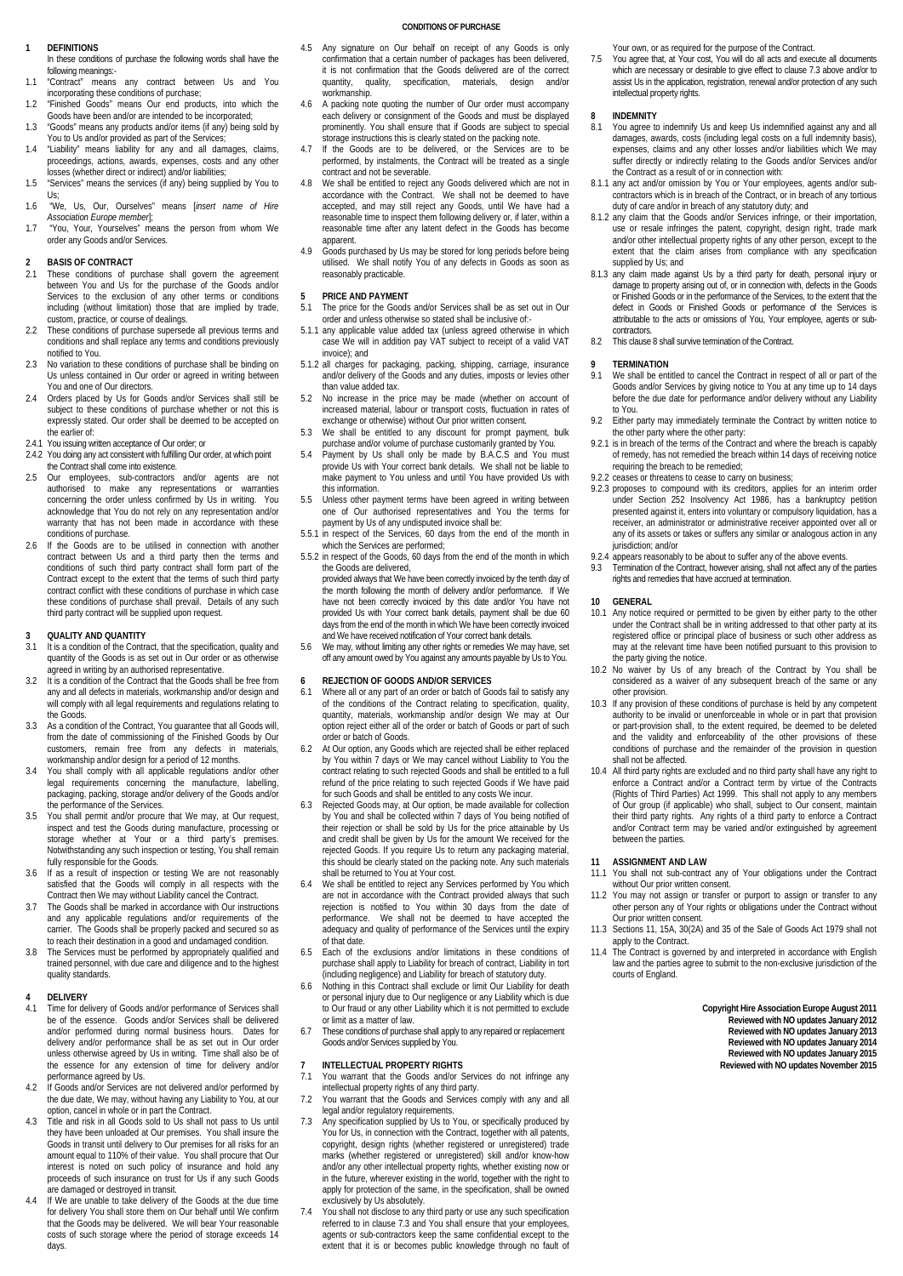### **CONDITIONS OF PURCHASE**

### **1 DEFINITIONS**

In these conditions of purchase the following words shall have the following meanings:-

- 1.1 "Contract" means any contract between Us and You incorporating these conditions of purchase;
- 1.2 "Finished Goods" means Our end products, into which the Goods have been and/or are intended to be incorporated; 1.3 "Goods" means any products and/or items (if any) being sold by
- You to Us and/or provided as part of the Services; 1.4 "Liability" means liability for any and all damages, claims,
- proceedings, actions, awards, expenses, costs and any other losses (whether direct or indirect) and/or liabilities; 1.5 "Services" means the services (if any) being supplied by You to
- Us; 1.6 "We, Us, Our, Ourselves" means [*insert name of Hire*
- *Association Europe member*]; 1.7 "You, Your, Yourselves" means the person from whom We order any Goods and/or Services.

## **2 BASIS OF CONTRACT**<br>2.1 These conditions of p

- 2.1 These conditions of purchase shall govern the agreement between You and Us for the purchase of the Goods and/or Services to the exclusion of any other terms or conditions including (without limitation) those that are implied by trade, custom, practice, or course of dealings.
- 2.2 These conditions of purchase supersede all previous terms and conditions and shall replace any terms and conditions previously notified to You.
- 2.3 No variation to these conditions of purchase shall be binding on Us unless contained in Our order or agreed in writing between You and one of Our directors.
- 2.4 Orders placed by Us for Goods and/or Services shall still be subject to these conditions of purchase whether or not this is expressly stated. Our order shall be deemed to be accepted on the earlier of:
- 2.4.1 You issuing written acceptance of Our order; or
- 2.4.2 You doing any act consistent with fulfilling Our order, at which point the Contract shall come into existence.
- 2.5 Our employees, sub-contractors and/or agents are not authorised to make any representations or warranties concerning the order unless confirmed by Us in writing. You acknowledge that You do not rely on any representation and/or warranty that has not been made in accordance with these conditions of purchase.
- 2.6 If the Goods are to be utilised in connection with another contract between Us and a third party then the terms and conditions of such third party contract shall form part of the Contract except to the extent that the terms of such third party contract conflict with these conditions of purchase in which case these conditions of purchase shall prevail. Details of any such third party contract will be supplied upon request.

## **3 QUALITY AND QUANTITY**<br>**3.1** It is a condition of the Contr

- It is a condition of the Contract, that the specification, quality and quantity of the Goods is as set out in Our order or as otherwise
- agreed in writing by an authorised representative. 3.2 It is a condition of the Contract that the Goods shall be free from any and all defects in materials, workmanship and/or design and will comply with all legal requirements and regulations relating to the Goods.
- 3.3 As a condition of the Contract, You guarantee that all Goods will, from the date of commissioning of the Finished Goods by Our customers, remain free from any defects in materials, workmanship and/or design for a period of 12 months.
- 3.4 You shall comply with all applicable regulations and/or other legal requirements concerning the manufacture, labelling, packaging, packing, storage and/or delivery of the Goods and/or the performance of the Services.
- 3.5 You shall permit and/or procure that We may, at Our request inspect and test the Goods during manufacture, processing or storage whether at Your or a third party's premises Notwithstanding any such inspection or testing, You shall remain fully responsible for the Goods.
- 3.6 If as a result of inspection or testing We are not reasonably satisfied that the Goods will comply in all respects with the Contract then We may without Liability cancel the Contract. 3.7 The Goods shall be marked in accordance with Our instructions
- and any applicable regulations and/or requirements of the carrier. The Goods shall be properly packed and secured so as to reach their destination in a good and undamaged condition.
- 3.8 The Services must be performed by appropriately qualified and trained personnel, with due care and diligence and to the highest quality standards.

## **4 DELIVERY**

- Time for delivery of Goods and/or performance of Services shall be of the essence. Goods and/or Services shall be delivered and/or performed during normal business hours. Dates for delivery and/or performance shall be as set out in Our order unless otherwise agreed by Us in writing. Time shall also be of the essence for any extension of time for delivery and/or performance agreed by Us.
- 4.2 If Goods and/or Services are not delivered and/or performed by the due date, We may, without having any Liability to You, at our option, cancel in whole or in part the Contract.
- 4.3 Title and risk in all Goods sold to Us shall not pass to Us until they have been unloaded at Our premises. You shall insure the Goods in transit until delivery to Our premises for all risks for an amount equal to 110% of their value. You shall procure that Our interest is noted on such policy of insurance and hold any proceeds of such insurance on trust for Us if any such Goods are damaged or destroyed in transit.
- 4.4 If We are unable to take delivery of the Goods at the due time for delivery You shall store them on Our behalf until We confirm that the Goods may be delivered. We will bear Your reasonable costs of such storage where the period of storage exceeds 14 days.
- 4.5 Any signature on Our behalf on receipt of any Goods is only confirmation that a certain number of packages has been delivered it is not confirmation that the Goods delivered are of the correct quantity, quality, specification, materials, design and/or workmanship.
- 4.6 A packing note quoting the number of Our order must accompany each delivery or consignment of the Goods and must be displayed prominently. You shall ensure that if Goods are subject to special
- storage instructions this is clearly stated on the packing note. 4.7 If the Goods are to be delivered, or the Services are to be performed, by instalments, the Contract will be treated as a single contract and not be severable.
- 4.8 We shall be entitled to reject any Goods delivered which are not in accordance with the Contract. We shall not be deemed to have accepted, and may still reject any Goods, until We have had a reasonable time to inspect reasonable time after any latent defect in the Goods has become apparent
- 4.9 Goods purchased by Us may be stored for long periods before being utilised. We shall notify You of any defects in Goods as soon as reasonably practicable.

## **5 PRICE AND PAYMENT**<br>5.1 The price for the Goods

- 5.1 The price for the Goods and/or Services shall be as set out in Our order and unless otherwise so stated shall be inclusive of:-
- 5.1.1 any applicable value added tax (unless agreed otherwise in which case We will in addition pay VAT subject to receipt of a valid VAT invoice); and
- 5.1.2 all charges for packaging, packing, shipping, carriage, insurance and/or delivery of the Goods and any duties, imposts or levies other than value added tax.
- No increase in the price may be made (whether on account of increased material, labour or transport costs, fluctuation in rates of exchange or otherwise) without Our prior written consent.
- 5.3 We shall be entitled to any discount for prompt payment, bulk purchase and/or volume of purchase customarily granted by You.
- 5.4 Payment by Us shall only be made by B.A.C.S and You must provide Us with Your correct bank details. We shall not be liable to provide 63 with You concer bank details. We shall not be hable to make payment to You unless and until You have provided Us with this information.
- 5.5 Unless other payment terms have been agreed in writing between one of Our authorised representatives and You the terms for payment by Us of any undisputed invoice shall be:
- 5.5.1 in respect of the Services, 60 days from the end of the month in which the Services are performed; 5.5.2 in respect of the Goods, 60 days from the end of the month in which
	- the Goods are delivered, provided always that We have been correctly invoiced by the tenth day of the month following the month of delivery and/or performance. If We have not been correctly invoiced by this date and/or You have not provided Us with Your correct bank details, payment shall be due 60 days from the end of the month in which We have been correctly invoiced and We have received notification of Your correct bank details.
- 5.6 We may, without limiting any other rights or remedies We may have, set off any amount owed by You against any amounts payable by Us to You.

## **6 REJECTION OF GOODS AND/OR SERVICES**<br>**6.1** Where all or any part of an order or batch of Go

- 6.1 Where all or any part of an order or batch of Goods fail to satisfy any of the conditions of the Contract relating to specification, quality, quantity, materials, workmanship and/or design We may at Our option reject either all of the order or batch of Goods or part of such order or batch of Goods.
- 6.2 At Our option, any Goods which are rejected shall be either replaced by You within 7 days or We may cancel without Liability to You the contract relating to such rejected Goods and shall be entitled to a full refund of the price relating to such rejected Goods if We have paid for such Goods and shall be entitled to any costs We incur.
- 6.3 Rejected Goods may, at Our option, be made available for collection by You and shall be collected within 7 days of You being notified of their rejection or shall be sold by Us for the price attainable by Us and credit shall be given by Us for the amount We received for the rejected Goods. If you require Us to return any packaging material, this should be clearly stated on the packing note. Any such materials shall be returned to You at Your cost.
- 6.4 We shall be entitled to reject any Services performed by You which are not in accordance with the Contract provided always that such rejection is notified to You within 30 days from the date of performance. We shall not be deemed to have accepted the adequacy and quality of performance of the Services until the expiry of that date.
- 6.5 Each of the exclusions and/or limitations in these conditions of purchase shall apply to Liability for breach of contract, Liability in tort (including negligence) and Liability for breach of statutory duty.
- 6.6 Nothing in this Contract shall exclude or limit Our Liability for death or personal injury due to Our negligence or any Liability which is due to Our fraud or any other Liability which it is not permitted to exclude or limit as a matter of law.
- 6.7 These conditions of purchase shall apply to any repaired or replacement Goods and/or Services supplied by You.

- **7 INTELLECTUAL PROPERTY RIGHTS**  7.1 You warrant that the Goods and/or Services do not infringe any
- intellectual property rights of any third party. 7.2 You warrant that the Goods and Services comply with any and all legal and/or regulatory requirements.
- 7.3 Any specification supplied by Us to You, or specifically produced by You for Us, in connection with the Contract, together with all patents, copyright, design rights (whether registered or unregistered) trade marks (whether registered or unregistered) skill and/or know-how and/or any other intellectual property rights, whether existing now or in the future, wherever existing in the world, together with the right to apply for protection of the same, in the specification, shall be owned exclusively by Us absolutely.
- 7.4 You shall not disclose to any third party or use any such specification referred to in clause 7.3 and You shall ensure that your employees, agents or sub-contractors keep the same confidential except to the extent that it is or becomes public knowledge through no fault of

Your own, or as required for the purpose of the Contract.

7.5 You agree that, at Your cost, You will do all acts and execute all documents which are necessary or desirable to give effect to clause 7.3 above and/or to assist Us in the application, registration, renewal and/or protection of any such intellectual property rights.

- 8 **INDEMNITY**<br>8.1 You agree to You agree to indemnify Us and keep Us indemnified against any and all damages, awards, costs (including legal costs on a full indemnity basis), expenses, claims and any other losses and/or liabilities which We may suffer directly or indirectly relating to the Goods and/or Services and/or the Contract as a result of or in connection with: 8.1.1 any act and/or omission by You or Your employees, agents and/or sub-
- contractors which is in breach of the Contract, or in breach of any tortious duty of care and/or in breach of any statutory duty; and 8.1.2 any claim that the Goods and/or Services infringe, or their importation,
- use or resale infringes the patent, copyright, design right, trade mark and/or other intellectual property rights of any other person, except to the extent that the claim arises from compliance with any specification supplied by Us; and
- 8.1.3 any claim made against Us by a third party for death, personal injury or damage to property arising out of, or in connection with, defects in the Goods or Finished Goods or in the performance of the Services, to the extent that the defect in Goods or Finished Goods or performance of the Services is attributable to the acts or omissions of You, Your employee, agents or subcontractors.
- 8.2 This clause 8 shall survive termination of the Contract.

## **9 TERMINATION**<br>**9.1** We shall be en

- We shall be entitled to cancel the Contract in respect of all or part of the Goods and/or Services by giving notice to You at any time up to 14 days before the due date for performance and/or delivery without any Liability to You.
- 9.2 Either party may immediately terminate the Contract by written notice to
- the other party where the other party: 9.2.1 is in breach of the terms of the Contract and where the breach is capably of remedy, has not remedied the breach within 14 days of receiving notice requiring the breach to be remedied;
- 9.2.2 ceases or threatens to cease to carry on business;
- 9.2.3 proposes to compound with its creditors, applies for an interim order under Section 252 Insolvency Act 1986, has a bankruptcy petition presented against it, enters into voluntary or compulsory liquidation, has a receiver, an administrator or administrative receiver appointed over all or any of its assets or takes or suffers any similar or analogous action in any jurisdiction; and/or
- 9.2.4 appears reasonably to be about to suffer any of the above events.
- 9.3 Termination of the Contract, however arising, shall not affect any of the parties rights and remedies that have accrued at termination.

- **10 GENERAL**  Any notice required or permitted to be given by either party to the other under the Contract shall be in writing addressed to that other party at its registered office or principal place of business or such other address as may at the relevant time have been notified pursuant to this provision to the party giving the notice.
- 10.2 No waiver by Us of any breach of the Contract by You shall be considered as a waiver of any subsequent breach of the same or any other provision.
- 10.3 If any provision of these conditions of purchase is held by any competent authority to be invalid or unenforceable in whole or in part that provision or part-provision shall, to the extent required, be deemed to be deleted and the validity and enforceability of the other provisions of these conditions of purchase and the remainder of the provision in question shall not be affected.
- 10.4 All third party rights are excluded and no third party shall have any right to enforce a Contract and/or a Contract term by virtue of the Contracts (Rights of Third Parties) Act 1999. This shall not apply to any members of Our group (if applicable) who shall, subject to Our consent, maintain their third party rights. Any rights of a third party to enforce a Contract and/or Contract term may be varied and/or extinguished by agreement between the parties.

## **11 ASSIGNMENT AND LAW**<br>11.1 You shall not sub-contract

- 11.1 You shall not sub-contract any of Your obligations under the Contract without Our prior written consent.
- 11.2 You may not assign or transfer or purport to assign or transfer to any other person any of Your rights or obligations under the Contract without Our prior written consent.
- 11.3 Sections 11, 15A, 30(2A) and 35 of the Sale of Goods Act 1979 shall not apply to the Contract.
- 11.4 The Contract is governed by and interpreted in accordance with English law and the parties agree to submit to the non-exclusive jurisdiction of the courts of England.

## **Copyright Hire Association Europe August 2011**

- **Reviewed with NO updates January 2012** 
	- **Reviewed with NO updates January 2013 Reviewed with NO updates January 2014**
	- **Reviewed with NO updates January 2015**
	- **Reviewed with NO updates November 2015**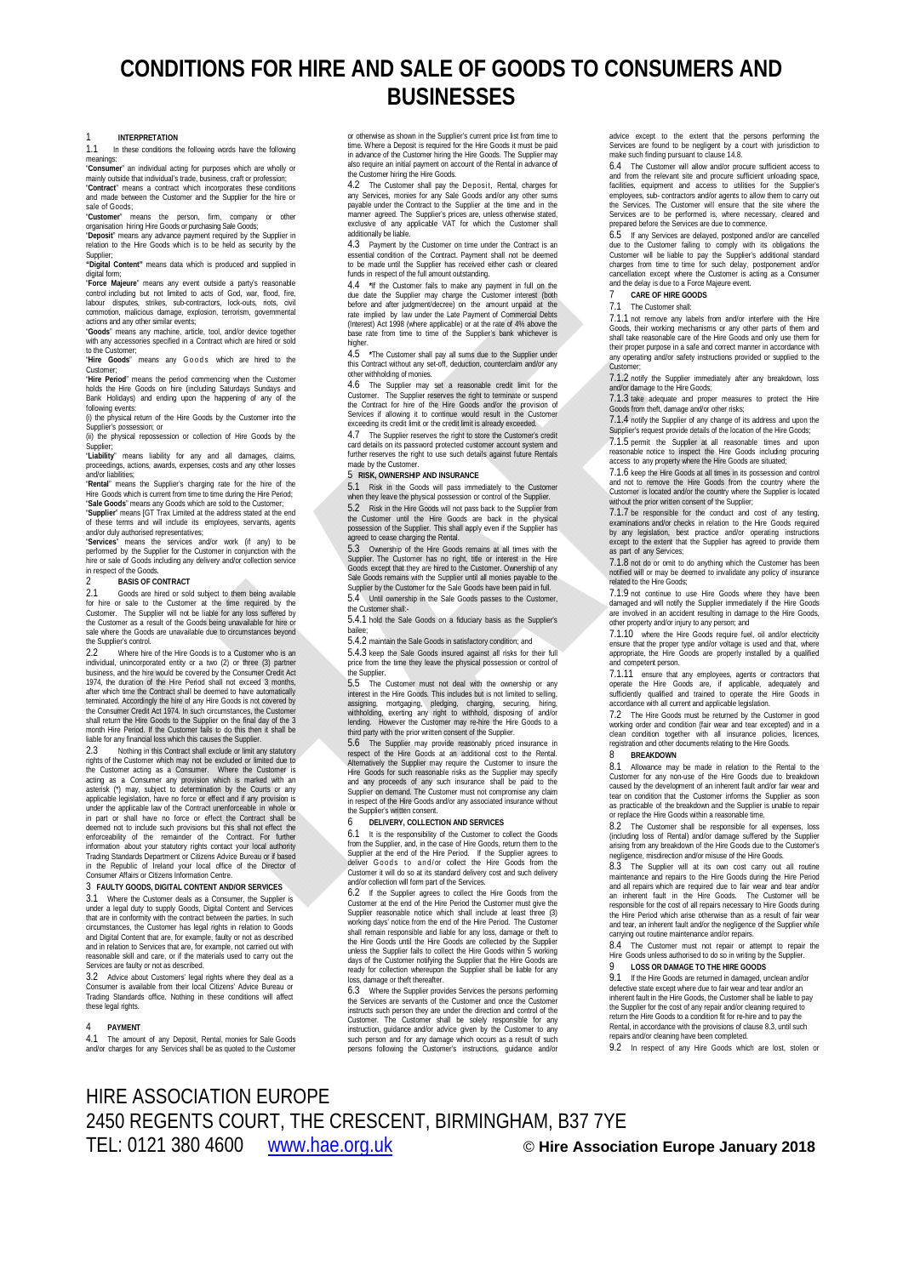# **CONDITIONS FOR HIRE AND SALE OF GOODS TO CONSUMERS AND BUSINESSES**

1 **INTERPRETATION**<br>1.1 In these conditions to 1.1 In these conditions the following words have the following meanings:

"**Consumer**" an individual acting for purposes which are wholly or mainly outside that individual's trade, business, craft or profession; "**Contract**" means a contract which incorporates these conditions

and made between the Customer and the Supplier for the hire or sale of Goods;<br>"Customer" m means the person, firm, company or other

organisation hiring Hire Goods or purchasing Sale Goods; "**Deposit**" means any advance payment required by the Supplier in relation to the Hire Goods which is to be held as security by the

Supplier; **"Digital Content"** means data which is produced and supplied in

digital form: "Force Majeure" means any event outside a party's reasonable<br>control including but not limited to acts of God, war, flood, fire,<br>labour disputes, strikes, sub-contractors, lock-outs, riots, civil<br>commotion, malicious damag

actions and any other similar events;<br>"**Goods**" means any machine, article, tool, and/or device together<br>with any accessories specified in a Contract which are hired or sold

to the Customer; "Hire Goods" means any Goods which are hired to the

Customer; "**Hire Period**" means the period commencing when the Customer

holds the Hire Goods on hire (including Saturdays Sundays and<br>Bank Holidays) and ending upon the happening of any of the<br>following events:<br>(i) the physical return of the Hire Goods by the Customer into the Supplier's possession; or

(ii) the physical repossession or collection of Hire Goods by the

Supplier; "**Liability**" means liability for any and all damages, claims, proceedings, actions, awards, expenses, costs and any other losses

and/or liabilities;<br>**"Rental**" means the Supplier's charging rate for the hire of the<br>Hire Goods which is current from time to time during the Hire Period;

"**Sale Goods**" means any Goods which are sold to the Customer; "**Supplier**" means [GT Trax Limited at the address stated at the end of these terms and will include its employees, servants, agents supprier means (ST Trax Einneu at the autress stated at the end<br>of these terms and will include its employees, servants, agents<br>and/or duly authorised representatives;

"**Services**" means the services and/or work (if any) to be performed by the Supplier for the Customer in conjunction with the hire or sale of Goods including any delivery and/or collection service in respect of the Goods.

**BASIS OF CONTRACT**<br>2.1 **Goods** are hired or sol 2.1 Goods are hired or sold subject to them being available for hire or sale to the Customer at the time required by the Customer. The Supplier will not be liable for any loss suffered by the Customer as a result of the Goods being unavailable for hire or sale where the Goods are unavailable due to circumstances beyond the Supplier's control.

2.2 Where hire of the Hire Goods is to a Customer who is an individual, unincorporated entity or a two (2) or three (3) partner business, and the hire would be covered by the Consumer Credit Act 1974, the duration of the Hire Period shall not exceed 3 months after which time the Contract shall be deemed to have automatically terminated. Accordingly the hire of any Hire Goods is not covered by the Consumer Credit Act 1974. In such circumstances, the Customer shall return the Hire Goods to the Supplier on the final day of the 3 month Hire Period. If the Customer fails to do this then it shall be liable for any financial loss which this causes the Supplier.

2.3 Nothing in this Contract shall exclude or limit any statutory<br>rights of the Customer which may not be excluded or limited due to<br>the Customer acting as a Consumer. Where the Customer is<br>acting as a Consumer any provisi in part or shall have no force or effect the Contract shall be<br>deemed not to include such provisions but this shall not effect the<br>enforceability of the remainder of the Contract. For further<br>information about your statuto in the Republic of Ireland your local office of the Director of Consumer Affairs or Citizens Information Centre.

### 3 **FAULTY GOODS, DIGITAL CONTENT AND/OR SERVICES**

3.1 Where the Customer deals as a Consumer, the Supplier is under a legal duty to supply Goods, Digital Content and Services<br>that are in conformity with the contract between the parties. In such<br>circumstances, the Customer has legal rights in relation to Goods<br>and Digital Content t and in relation to Services that are, for example, not carried out with reasonable skill and care, or if the materials used to carry out the Services are faulty or not as described.

3.2 Advice about Customers' legal rights where they deal as a Consumer is available from their local Citizens' Advice Bureau or Trading Standards office. Nothing in these conditions will affect these legal rights.

## 4 **PAYMENT**

4.1 The amount of any Deposit, Rental, monies for Sale Goods and/or charges for any Services shall be as quoted to the Customer

or otherwise as shown in the Supplier's current price list from time to time. Where a Deposit is required for the Hire Goods it must be paid in advance of the Customer hiring the Hire Goods. The Supplier may also require an initial payment on account of the Rental in advance of the Customer hiring the Hire Goods.

4.2 The Customer shall pay the Deposit, Rental, charges for<br>any Services, monies for any Sale Goods and/or any other sums<br>payable under the Contract to the Supplier at the time and in the<br>manner agreed. The Supplier's pric exclusive of any applicable VAT for which the Customer shall additionally be liable.

4.3 Payment by the Customer on time under the Contract is an essential condition of the Contract. Payment shall not be deemed to be made until the Supplier has received either cash or cleared funds in respect of the full amount outstanding.

4.4 **\***If the Customer fails to make any payment in full on the due date the Supplier may charge the Customer interest (both before and after judgment/decree) on the amount unpaid at the rate implied by law under the Late Payment of Commercial Debts (Interest) Act 1998 (where applicable) or at the rate of 4% above the base rate from time to time of the Supplier's bank whichever is

higher.<br>4.5 4.5 **\***The Customer shall pay all sums due to the Supplier under this Contract without any set-off, deduction, counterclaim and/or any other withholding of monies.

4.6 The Supplier may set a reasonable credit limit for the Customer. The Supplier reserves the right to terminate or suspend<br>the Constract for hire of the Hire Goods and/or the provision of<br>Services if allowing it to conti exceeding its credit limit or the credit limit is already exceeded.

4.7 The Supplier reserves the right to store the Customer's credit card details on its password protected customer account system and further reserves the right to use such details against future Rentals made by the Customer.

### 5 **RISK, OWNERSHIP AND INSURANCE**

5.1 Risk in the Goods will pass immediately to the Customer when they leave the physical possession or control of the Supplier.

5.2 Risk in the Hire Goods will not pass back to the Supplier from the Customer until the Hire Goods are back in the physical possession of the Supplier. This shall apply even if the Supplier has

agreed to cease charging the Rental. 5.3 Ownership of the Hire Goods remains at all times with the Supplier. The Customer has no right, title or interest in the Hire Goods except that they are hired to the Customer. Ownership of any Sale Goods remains with the Supplier until all monies payable to the Supplier by the Customer for the Sale Goods have been paid in full. 5.4 Until ownership in the Sale Goods passes to the Customer, the Customer shall:-

5.4.1 hold the Sale Goods on a fiduciary basis as the Supplier's bailee;

5.4.2 maintain the Sale Goods in satisfactory condition; and

5.4.3 keep the Sale Goods insured against all risks for their full price from the time they leave the physical possession or control of .<br>the Supplier.

5.5 The Customer must not deal with the ownership or any interest in the Hire Goods. This includes but is not limited to selling, assigning, mortgaging, pledging, charging, securing, hiring,<br>withholding, exerting any right to withhold, disposing of and/or<br>lending. However the Customer may re-hire the Hire Goods to a<br>third-party-with-the-prior-written

5.6 The Supplier may provide reasonably priced insurance in respect of the Hire Goods at an additional cost to the Rental. Alternatively the Supplier may require the Customer to insure the Hire Goods for such reasonable risks as the Supplier may specify and any proceeds of any such insurance shall be paid to the Supplier on demand. The Customer must not compromise any claim in respect of the Hire Goods and/or any associated insurance without the Supplier's written consent.<br>6 DELIVERY, COLLECT

# 6 **DELIVERY, COLLECTION AND SERVICES**

It is the responsibility of the Customer to collect the Goods from the Supplier, and, in the case of Hire Goods, return them to the Supplier at the end of the Hire Period. If the Supplier agrees to<br>deliver Goods to and/or collect the Hire Goods from the<br>Customer it will do so at its standard delivery cost and such delivery and/or collection will form part of the Services.

If the Supplier agrees to collect the Hire Goods from the Customer at the end of the Hire Period the Customer must give the Supplier reasonable notice which shall include at least three (3)<br>working days' notice from the end of the Hire Period. The Customer<br>shall remain responsible and liable for any loss, damage or theft to<br>the Hire Goods until unless the Supplier fails to collect the Hire Goods within 5 working days of the Customer notifying the Supplier that the Hire Goods are ready for collection whereupon the Supplier shall be liable for any loss, damage or theft thereafter.

6.3 Where the Supplier provides Services the persons per the Services are servants of the Customer and once the Customer instructs such person they are under the direction and control of the<br>Customer. The Customer shall be solely responsible for any<br>instruction, guidance and/or advice given by the Customer to any<br>such person and for any dama persons following the Customer's instructions, guidance and/or

advice except to the extent that the persons performing the Services are found to be negligent by a court with jurisdiction to make such finding pursuant to clause 14.8.

6.4 The Customer will allow and/or procure sufficient access to and from the relevant site and procure sufficient undacting space,<br>facilities, equipment and access to utilities for the Suppliers<br>employees, sub-contractors and/or agents to allow them to carry out<br>the Services. The Custo prepared before the Services are due to commence.

6.5 If any Services are delayed, postponed and/or are cancelled due to the Customer failing to comply with its obtigations the<br>Customer will be liable to pay the Supplier's additional standard<br>charges from time to time for such delay, postponement and/or<br>cancellation except where the C

## 7 **CARE OF HIRE GOODS**

## The Customer shall:

7.1.1 not remove any labels from and/or interfere with the Hire Goods, their working mechanisms or any other parts of them and shall take reasonable care of the Hire Goods and only use them for their proper purpose in a safe and correct manner in accordance with any operating and/or safety instructions provided or supplied to the

Customer; 7.1.2 notify the Supplier immediately after any breakdown, loss and/or damage to the Hire Goods;

7.1.3 take adequate and proper measures to protect the Hire Goods from theft, damage and/or other risks;

7.1.4 notify the Supplier of any change of its address and upon the Supplier's request provide details of the location of the Hire Goods;

7.1.5 permit the Supplier at all reasonable times and upon reasonable notice to inspect the Hire Goods including procuring access to any property where the Hire Goods are situated;

7.1.6 keep the Hire Goods at all times in its possession and control and not to remove the Hire Goods from the country where the Customer is located and/or the country where the Supplier is located without the prior written consent of the Supplier;

7.1.7 be responsible for the conduct and cost of any testing examinations and/or checks in relation to the Hire Goods required by any legislation, best practice and/or operating instructions except to the extent that the Supplier has agreed to provide them art of any Services;

7.1.8 not do or omit to do anything which the Customer has been notified will or may be deemed to invalidate any policy of insurance related to the Hire Goods;

7.1.9 not continue to use Hire Goods where they have been damaged and will notify the Supplier immediately if the Hire Goods are involved in an accident resulting in damage to the Hire Goods,

other property and/or injury to any person; and 7.1.10 where the Hire Goods require fuel, oil and/or electricity ensure that the proper type and/or voltage is used and that, where appropriate, the Hire Goods are properly installed by a qualified ando, and cancer

7.1.11 ensure that any employees, agents or contractors that operate the Hire Goods are, if applicable, adequately and sufficiently qualified and trained to operate the Hire Goods in accordance with all current and applicable legislation.

7.2 The Hire Goods must be returned by the Customer in good working order and condition (fair wear and tear excepted) and in a clean condition together with all insurance policies, licences, registration and other documents relating to the Hire Goods.

## 8 **BREAKDOWN**

8.1 Allowance may be made in relation to the Rental to the Customer for any non-use of the Hire Goods due to breakdown<br>caused by the development of an inherent fault and/or fair wear and<br>tear on condition that the Customer informs the Supplier as soon<br>as practicable of the breakdo or replace the Hire Goods within a reasonable time.<br>8.2 The Customer shall be responsible for a

The Customer shall be responsible for all expenses, loss (including loss of Rental) and/or damage suffered by the Supplier arising from any breakdown of the Hire Goods due to the Customer's negligence, misdirection and/or misuse of the Hire Goods.

8.3 The Supplier will at its own cost carry out all routine maintenance and repairs to the Hire Goods during the Hire Period and all repairs which are required due to fair wear and tear and/or<br>an inherent fault in the Hire Goods. The Customer will be<br>responsible for the cost of all repairs necessary to Hire Goods during<br>the Hire Period which ari and tear, an inherent fault and/or the negligence of the Supplier while carrying out routine maintenance and/or repairs.

8.4 The Customer must not repair or attempt to repair the Hire Goods unless authorised to do so in writing by the Supplier.

## 9 **LOSS OR DAMAGE TO THE HIRE GOODS**

If the Hire Goods are returned in damaged, unclean and/or defective state except where due to fair wear and tear and/or an inherent fault in the Hire Goods, the Customer shall be liable to pay the Supplier for the cost of any repair and/or cleaning required to return the Hire Goods to a condition fit for re-hire and to pay the Rental, in accordance with the provisions of clause 8.3, until such repairs and/or cleaning have been completed.

9.2 In respect of any Hire Goods which are lost, stolen or

# HIRE ASSOCIATION EUROPE 2450 REGENTS COURT, THE CRESCENT, BIRMINGHAM, B37 7YE TEL: 0121 380 4600 www.hae.org.uk © **Hire Association Europe January 2018**